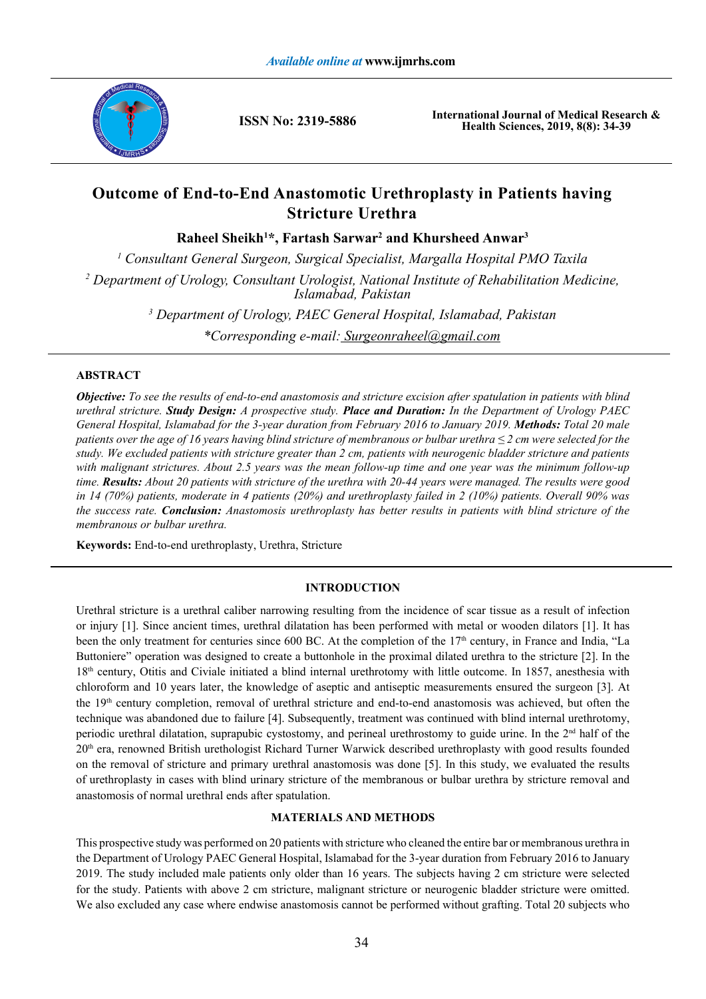

**ISSN No: 2319-5886**

**International Journal of Medical Research & Health Sciences, 2019, 8(8): 34-39**

# **Outcome of End-to-End Anastomotic Urethroplasty in Patients having Stricture Urethra**

**Raheel Sheikh1 \*, Fartash Sarwar2 and Khursheed Anwar3**

*1 Consultant General Surgeon, Surgical Specialist, Margalla Hospital PMO Taxila* <sup>2</sup> Department of Urology, Consultant Urologist, National Institute of Rehabilitation Medicine, *Islamabad, Pakistan 3 Department of Urology, PAEC General Hospital, Islamabad, Pakistan \*Corresponding e-mail: Surgeonraheel@gmail.com*

# **ABSTRACT**

*Objective: To see the results of end-to-end anastomosis and stricture excision after spatulation in patients with blind urethral stricture. Study Design: A prospective study. Place and Duration: In the Department of Urology PAEC General Hospital, Islamabad for the 3-year duration from February 2016 to January 2019. Methods: Total 20 male patients over the age of 16 years having blind stricture of membranous or bulbar urethra ≤ 2 cm were selected for the study. We excluded patients with stricture greater than 2 cm, patients with neurogenic bladder stricture and patients*  with malignant strictures. About 2.5 years was the mean follow-up time and one year was the minimum follow-up *time. Results: About 20 patients with stricture of the urethra with 20-44 years were managed. The results were good in 14 (70%) patients, moderate in 4 patients (20%) and urethroplasty failed in 2 (10%) patients. Overall 90% was the success rate. Conclusion: Anastomosis urethroplasty has better results in patients with blind stricture of the membranous or bulbar urethra.*

**Keywords:** End-to-end urethroplasty, Urethra, Stricture

## **INTRODUCTION**

Urethral stricture is a urethral caliber narrowing resulting from the incidence of scar tissue as a result of infection or injury [1]. Since ancient times, urethral dilatation has been performed with metal or wooden dilators [1]. It has been the only treatment for centuries since 600 BC. At the completion of the 17<sup>th</sup> century, in France and India, "La Buttoniere" operation was designed to create a buttonhole in the proximal dilated urethra to the stricture [2]. In the 18th century, Otitis and Civiale initiated a blind internal urethrotomy with little outcome. In 1857, anesthesia with chloroform and 10 years later, the knowledge of aseptic and antiseptic measurements ensured the surgeon [3]. At the 19th century completion, removal of urethral stricture and end-to-end anastomosis was achieved, but often the technique was abandoned due to failure [4]. Subsequently, treatment was continued with blind internal urethrotomy, periodic urethral dilatation, suprapubic cystostomy, and perineal urethrostomy to guide urine. In the 2nd half of the 20th era, renowned British urethologist Richard Turner Warwick described urethroplasty with good results founded on the removal of stricture and primary urethral anastomosis was done [5]. In this study, we evaluated the results of urethroplasty in cases with blind urinary stricture of the membranous or bulbar urethra by stricture removal and anastomosis of normal urethral ends after spatulation.

### **MATERIALS AND METHODS**

This prospective study was performed on 20 patients with stricture who cleaned the entire bar or membranous urethra in the Department of Urology PAEC General Hospital, Islamabad for the 3-year duration from February 2016 to January 2019. The study included male patients only older than 16 years. The subjects having 2 cm stricture were selected for the study. Patients with above 2 cm stricture, malignant stricture or neurogenic bladder stricture were omitted. We also excluded any case where endwise anastomosis cannot be performed without grafting. Total 20 subjects who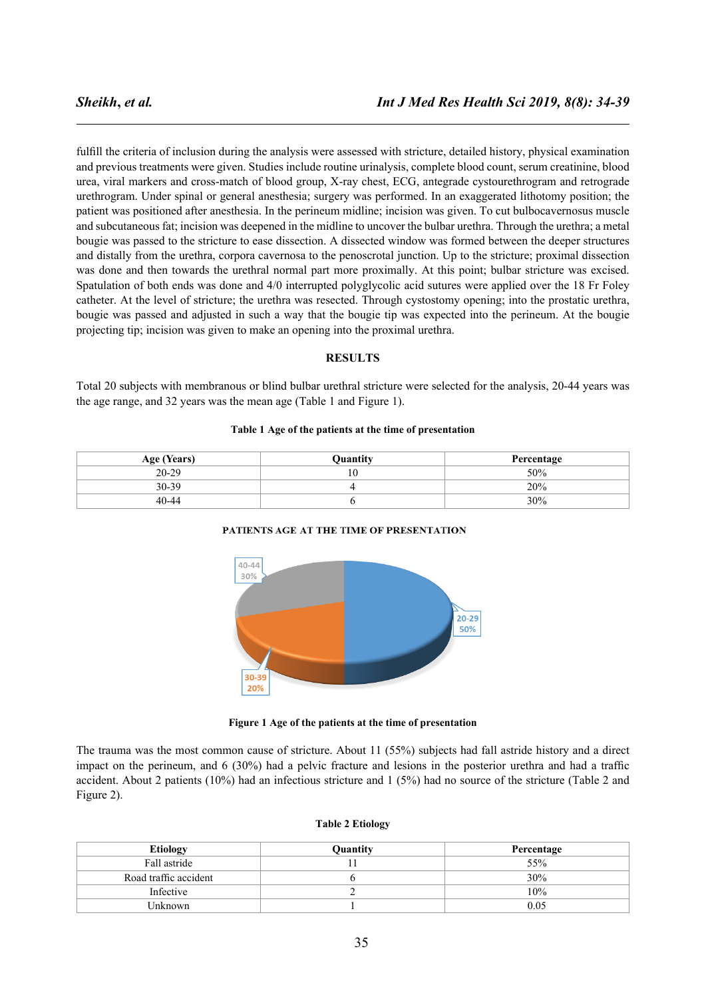fulfill the criteria of inclusion during the analysis were assessed with stricture, detailed history, physical examination and previous treatments were given. Studies include routine urinalysis, complete blood count, serum creatinine, blood urea, viral markers and cross-match of blood group, X-ray chest, ECG, antegrade cystourethrogram and retrograde urethrogram. Under spinal or general anesthesia; surgery was performed. In an exaggerated lithotomy position; the patient was positioned after anesthesia. In the perineum midline; incision was given. To cut bulbocavernosus muscle and subcutaneous fat; incision was deepened in the midline to uncover the bulbar urethra. Through the urethra; a metal bougie was passed to the stricture to ease dissection. A dissected window was formed between the deeper structures and distally from the urethra, corpora cavernosa to the penoscrotal junction. Up to the stricture; proximal dissection was done and then towards the urethral normal part more proximally. At this point; bulbar stricture was excised. Spatulation of both ends was done and 4/0 interrupted polyglycolic acid sutures were applied over the 18 Fr Foley catheter. At the level of stricture; the urethra was resected. Through cystostomy opening; into the prostatic urethra, bougie was passed and adjusted in such a way that the bougie tip was expected into the perineum. At the bougie projecting tip; incision was given to make an opening into the proximal urethra.

### **RESULTS**

Total 20 subjects with membranous or blind bulbar urethral stricture were selected for the analysis, 20-44 years was the age range, and 32 years was the mean age (Table 1 and Figure 1).

#### **Table 1 Age of the patients at the time of presentation**

| Age (Years) | <b>Ouantity</b> | Percentage |
|-------------|-----------------|------------|
| $20 - 29$   | 1 U             | 50%        |
| 30-39       |                 | 20%        |
| 40-44       |                 | 30%        |





#### **Figure 1 Age of the patients at the time of presentation**

The trauma was the most common cause of stricture. About 11 (55%) subjects had fall astride history and a direct impact on the perineum, and 6 (30%) had a pelvic fracture and lesions in the posterior urethra and had a traffic accident. About 2 patients (10%) had an infectious stricture and 1 (5%) had no source of the stricture (Table 2 and Figure 2).

#### **Table 2 Etiology**

| <b>Etiology</b>       | Quantity | Percentage |
|-----------------------|----------|------------|
| Fall astride          |          | 55%        |
| Road traffic accident |          | 30%        |
| Infective             |          | 10%        |
| Unknown               |          | 0.05       |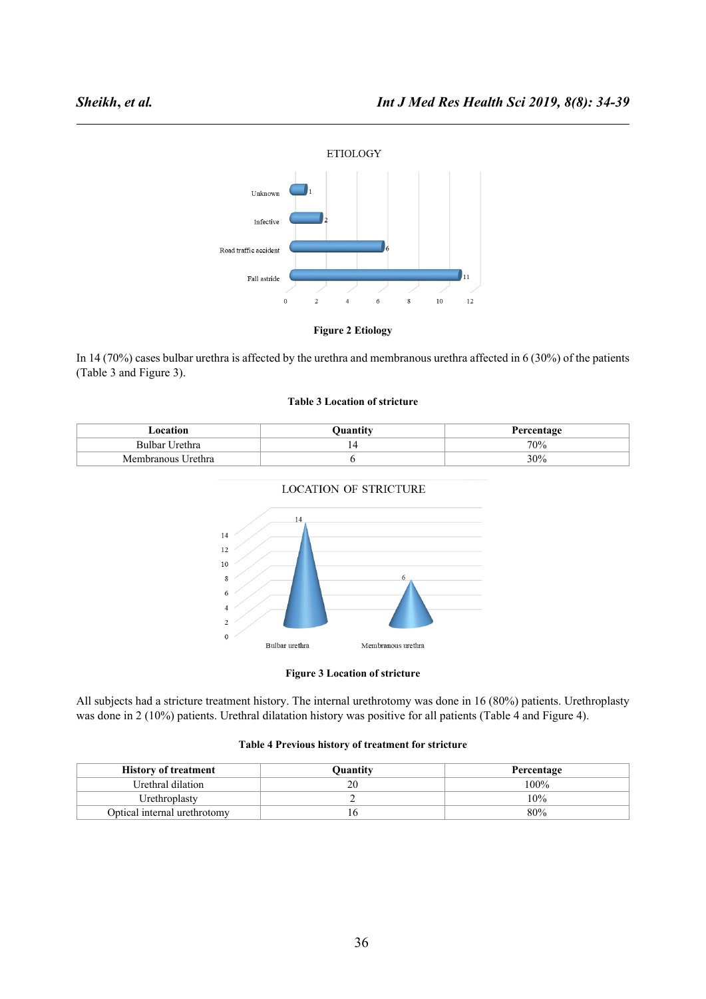



In 14 (70%) cases bulbar urethra is affected by the urethra and membranous urethra affected in 6 (30%) of the patients (Table 3 and Figure 3).

### **Table 3 Location of stricture**

| Location           | Ouantitv | Percentage |
|--------------------|----------|------------|
| Bulbar Urethra     |          | 70%        |
| Membranous Urethra |          | 30%        |



### **LOCATION OF STRICTURE**

### **Figure 3 Location of stricture**

All subjects had a stricture treatment history. The internal urethrotomy was done in 16 (80%) patients. Urethroplasty was done in 2 (10%) patients. Urethral dilatation history was positive for all patients (Table 4 and Figure 4).

#### **Table 4 Previous history of treatment for stricture**

| <b>History of treatment</b>  | Ouantity | Percentage |
|------------------------------|----------|------------|
| Urethral dilation            | 20       | 100%       |
| Urethroplasty                |          | 10%        |
| Optical internal urethrotomy |          | 80%        |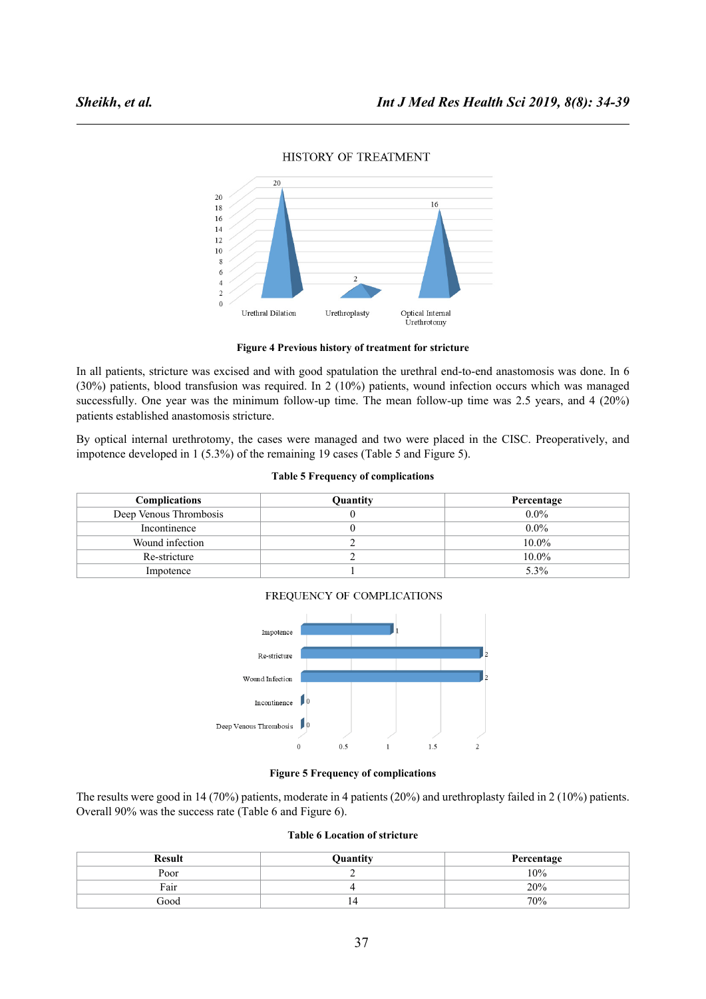

## HISTORY OF TREATMENT

**Figure 4 Previous history of treatment for stricture**

In all patients, stricture was excised and with good spatulation the urethral end-to-end anastomosis was done. In 6 (30%) patients, blood transfusion was required. In 2 (10%) patients, wound infection occurs which was managed successfully. One year was the minimum follow-up time. The mean follow-up time was 2.5 years, and 4 (20%) patients established anastomosis stricture.

By optical internal urethrotomy, the cases were managed and two were placed in the CISC. Preoperatively, and impotence developed in 1 (5.3%) of the remaining 19 cases (Table 5 and Figure 5).

#### **Table 5 Frequency of complications**

| <b>Complications</b>   | Quantity | Percentage |
|------------------------|----------|------------|
| Deep Venous Thrombosis |          | $0.0\%$    |
| Incontinence           |          | $0.0\%$    |
| Wound infection        |          | $10.0\%$   |
| Re-stricture           |          | $10.0\%$   |
| Impotence              |          | $5.3\%$    |



FREQUENCY OF COMPLICATIONS

# **Figure 5 Frequency of complications**

The results were good in 14 (70%) patients, moderate in 4 patients (20%) and urethroplasty failed in 2 (10%) patients. Overall 90% was the success rate (Table 6 and Figure 6).

### **Table 6 Location of stricture**

| <b>Result</b> | Quantity | Percentage |
|---------------|----------|------------|
| Poor          |          | 10%        |
| Fair          |          | 20%        |
| Good          | 14       | 70%        |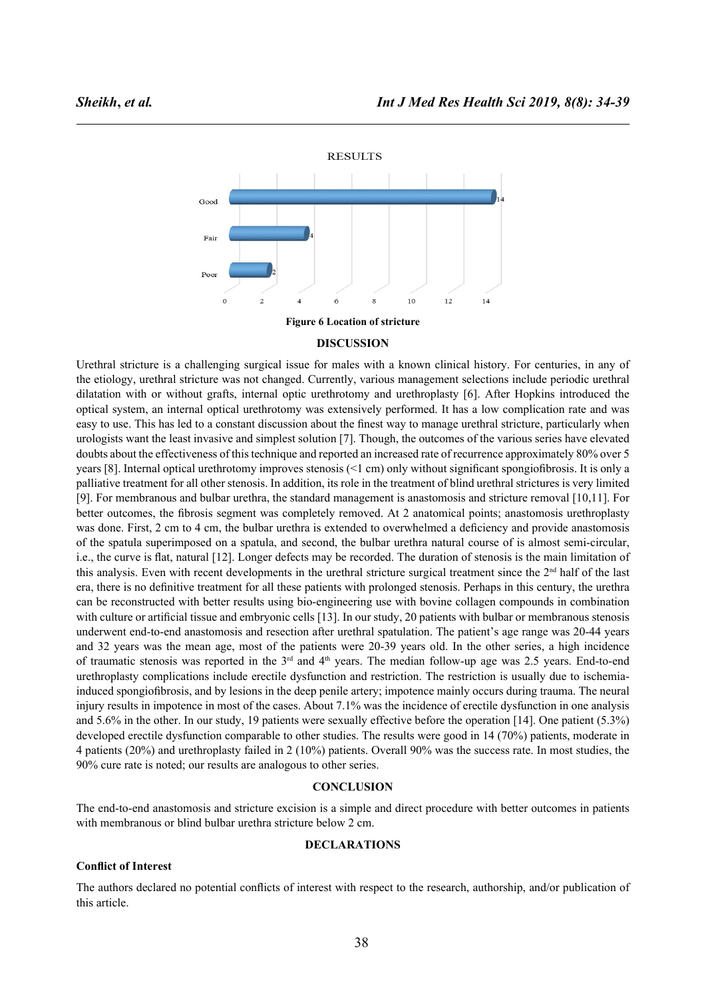

### **DISCUSSION**

Urethral stricture is a challenging surgical issue for males with a known clinical history. For centuries, in any of the etiology, urethral stricture was not changed. Currently, various management selections include periodic urethral dilatation with or without grafts, internal optic urethrotomy and urethroplasty [6]. After Hopkins introduced the optical system, an internal optical urethrotomy was extensively performed. It has a low complication rate and was easy to use. This has led to a constant discussion about the finest way to manage urethral stricture, particularly when urologists want the least invasive and simplest solution [7]. Though, the outcomes of the various series have elevated doubts about the effectiveness of this technique and reported an increased rate of recurrence approximately 80% over 5 years [8]. Internal optical urethrotomy improves stenosis (<1 cm) only without significant spongiofibrosis. It is only a palliative treatment for all other stenosis. In addition, its role in the treatment of blind urethral strictures is very limited [9]. For membranous and bulbar urethra, the standard management is anastomosis and stricture removal [10,11]. For better outcomes, the fibrosis segment was completely removed. At 2 anatomical points; anastomosis urethroplasty was done. First, 2 cm to 4 cm, the bulbar urethra is extended to overwhelmed a deficiency and provide anastomosis of the spatula superimposed on a spatula, and second, the bulbar urethra natural course of is almost semi-circular, i.e., the curve is flat, natural [12]. Longer defects may be recorded. The duration of stenosis is the main limitation of this analysis. Even with recent developments in the urethral stricture surgical treatment since the  $2<sup>nd</sup>$  half of the last era, there is no definitive treatment for all these patients with prolonged stenosis. Perhaps in this century, the urethra can be reconstructed with better results using bio-engineering use with bovine collagen compounds in combination with culture or artificial tissue and embryonic cells [13]. In our study, 20 patients with bulbar or membranous stenosis underwent end-to-end anastomosis and resection after urethral spatulation. The patient's age range was 20-44 years and 32 years was the mean age, most of the patients were 20-39 years old. In the other series, a high incidence of traumatic stenosis was reported in the  $3<sup>rd</sup>$  and  $4<sup>th</sup>$  years. The median follow-up age was 2.5 years. End-to-end urethroplasty complications include erectile dysfunction and restriction. The restriction is usually due to ischemiainduced spongiofibrosis, and by lesions in the deep penile artery; impotence mainly occurs during trauma. The neural injury results in impotence in most of the cases. About 7.1% was the incidence of erectile dysfunction in one analysis and 5.6% in the other. In our study, 19 patients were sexually effective before the operation [14]. One patient (5.3%) developed erectile dysfunction comparable to other studies. The results were good in 14 (70%) patients, moderate in 4 patients (20%) and urethroplasty failed in 2 (10%) patients. Overall 90% was the success rate. In most studies, the 90% cure rate is noted; our results are analogous to other series.

### **CONCLUSION**

The end-to-end anastomosis and stricture excision is a simple and direct procedure with better outcomes in patients with membranous or blind bulbar urethra stricture below 2 cm.

#### **DECLARATIONS**

### **Conflict of Interest**

The authors declared no potential conflicts of interest with respect to the research, authorship, and/or publication of this article.